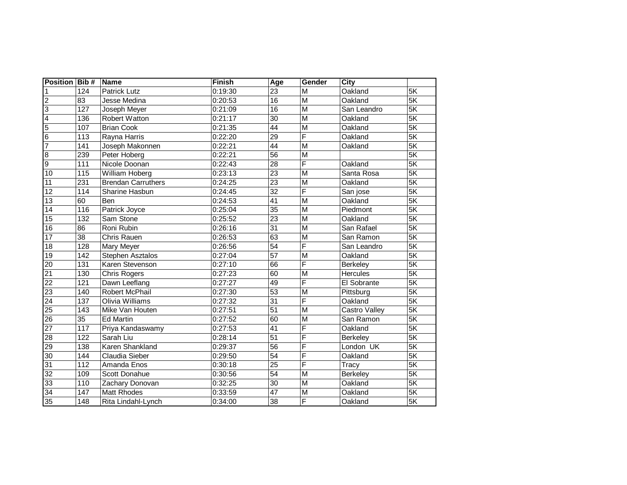| <b>Position Bib #</b> |                  | <b>Name</b>               | <b>Finish</b> | Age             | <b>Gender</b>           | City            |                          |
|-----------------------|------------------|---------------------------|---------------|-----------------|-------------------------|-----------------|--------------------------|
|                       | 124              | <b>Patrick Lutz</b>       | 0:19:30       | 23              | M                       | Oakland         | 5K                       |
| $\overline{2}$        | 83               | Jesse Medina              | 0:20:53       | 16              | M                       | Oakland         | 5K                       |
| 3                     | 127              | Joseph Meyer              | 0:21:09       | 16              | M                       | San Leandro     | 5K                       |
| $\overline{a}$        | 136              | <b>Robert Watton</b>      | 0:21:17       | 30              | M                       | Oakland         | 5K                       |
| 5                     | 107              | <b>Brian Cook</b>         | 0:21:35       | $\overline{44}$ | M                       | Oakland         | 5K                       |
| $6\phantom{1}6$       | 113              | Rayna Harris              | 0:22:20       | $\overline{29}$ | F                       | Oakland         | 5K                       |
| $\overline{7}$        | 141              | Joseph Makonnen           | 0:22:21       | $\overline{44}$ | M                       | Oakland         | $\overline{5K}$          |
| 8                     | 239              | Peter Hoberg              | 0:22:21       | $\overline{56}$ | $\overline{M}$          |                 | 5K                       |
| o                     | $\overline{111}$ | Nicole Doonan             | 0:22:43       | $\overline{28}$ | F                       | Oakland         | 5K                       |
| 10                    | 115              | William Hoberg            | 0:23:13       | $\overline{23}$ | $\overline{M}$          | Santa Rosa      | $\overline{5K}$          |
| 11                    | 231              | <b>Brendan Carruthers</b> | 0:24:25       | $\overline{23}$ | M                       | Oakland         | $\overline{\mathsf{5K}}$ |
| 12                    | 114              | <b>Sharine Hasbun</b>     | 0:24:45       | $\overline{32}$ | F                       | San jose        | 5K                       |
| $\overline{13}$       | 60               | Ben                       | 0:24:53       | $\overline{41}$ | $\overline{M}$          | Oakland         | 5K                       |
| 14                    | 116              | Patrick Joyce             | 0:25:04       | $\overline{35}$ | M                       | Piedmont        | $\overline{\mathsf{5K}}$ |
| $\overline{15}$       | 132              | Sam Stone                 | 0:25:52       | $\overline{23}$ | M                       | Oakland         | 5K                       |
| 16                    | 86               | Roni Rubin                | 0:26:16       | 31              | M                       | San Rafael      | 5K                       |
| $\overline{17}$       | $\overline{38}$  | <b>Chris Rauen</b>        | 0:26:53       | 63              | $\overline{M}$          | San Ramon       | 5K                       |
| 18                    | 128              | Mary Meyer                | 0:26:56       | 54              | F                       | San Leandro     | 5K                       |
| 19                    | 142              | Stephen Asztalos          | 0:27:04       | 57              | M                       | Oakland         | 5K                       |
| 20                    | 131              | Karen Stevenson           | 0:27:10       | 66              | F                       | Berkeley        | 5K                       |
| 21                    | 130              | <b>Chris Rogers</b>       | 0:27:23       | 60              | M                       | <b>Hercules</b> | 5K                       |
| 22                    | 121              | Dawn Leeflang             | 0:27:27       | 49              | $\overline{\mathsf{F}}$ | El Sobrante     | $\overline{\mathsf{5K}}$ |
| 23                    | 140              | Robert McPhail            | 0:27:30       | $\overline{53}$ | M                       | Pittsburg       | $\overline{5K}$          |
| $\overline{24}$       | $\overline{137}$ | <b>Olivia Williams</b>    | 0:27:32       | $\overline{31}$ | F                       | Oakland         | 5K                       |
| $\overline{25}$       | 143              | Mike Van Houten           | 0:27:51       | $\overline{51}$ | M                       | Castro Valley   | $\overline{5K}$          |
| 26                    | 35               | <b>Ed Martin</b>          | 0:27:52       | 60              | M                       | San Ramon       | 5K                       |
| 27                    | 117              | Priya Kandaswamy          | 0:27:53       | 41              | F                       | Oakland         | 5K                       |
| $\overline{28}$       | $\overline{122}$ | Sarah Liu                 | 0:28:14       | $\overline{51}$ | F                       | <b>Berkeley</b> | 5K                       |
| 29                    | 138              | Karen Shankland           | 0:29:37       | 56              | F                       | London UK       | 5K                       |
| 30                    | 144              | Claudia Sieber            | 0:29:50       | 54              | F                       | Oakland         | 5K                       |
| 31                    | 112              | Amanda Enos               | 0:30:18       | $\overline{25}$ | F                       | Tracy           | 5K                       |
| $\overline{32}$       | 109              | Scott Donahue             | 0:30:56       | $\overline{54}$ | M                       | <b>Berkeley</b> | 5K                       |
| 33                    | 110              | Zachary Donovan           | 0:32:25       | 30              | M                       | Oakland         | 5K                       |
| 34                    | 147              | Matt Rhodes               | 0:33:59       | $\overline{47}$ | M                       | Oakland         | $\overline{5K}$          |
| 35                    | 148              | Rita Lindahl-Lynch        | 0:34:00       | $\overline{38}$ | F                       | Oakland         | 5K                       |